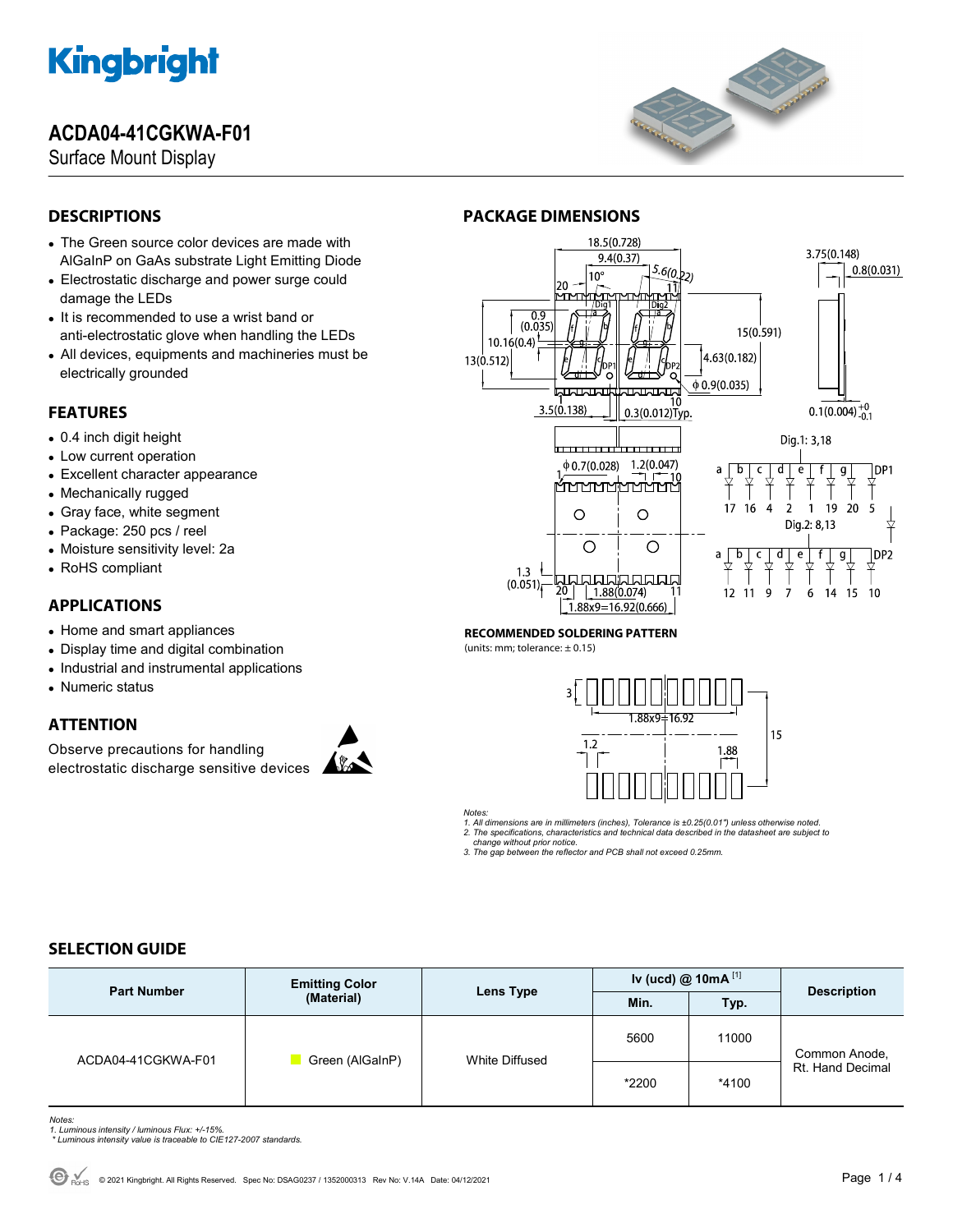## **ACDA04-41CGKWA-F01**

Surface Mount Display



### **DESCRIPTIONS**

- The Green source color devices are made with AlGaInP on GaAs substrate Light Emitting Diode
- Electrostatic discharge and power surge could damage the LEDs
- It is recommended to use a wrist band or anti-electrostatic glove when handling the LEDs
- All devices, equipments and machineries must be electrically grounded

### **FEATURES**

- 0.4 inch digit height
- Low current operation
- Excellent character appearance
- Mechanically rugged
- Gray face, white segment
- Package: 250 pcs / reel
- Moisture sensitivity level: 2a
- RoHS compliant

### **APPLICATIONS**

- Home and smart appliances
- Display time and digital combination
- Industrial and instrumental applications
- Numeric status

### **ATTENTION**

Observe precautions for handling electrostatic discharge sensitive devices





#### **RECOMMENDED SOLDERING PATTERN**

**PACKAGE DIMENSIONS** 

(units: mm; tolerance:  $\pm$  0.15)



*Notes:* 

*1. All dimensions are in millimeters (inches), Tolerance is ±0.25(0.01") unless otherwise noted. 2. The specifications, characteristics and technical data described in the datasheet are subject to* 

 *change without prior notice.* 

*3. The gap between the reflector and PCB shall not exceed 0.25mm.* 

### **SELECTION GUIDE**

| <b>Part Number</b> | <b>Emitting Color</b><br>(Material) | Lens Type      | Iv (ucd) $@ 10mA$ <sup>[1]</sup> |         | <b>Description</b>                |
|--------------------|-------------------------------------|----------------|----------------------------------|---------|-----------------------------------|
|                    |                                     |                | Min.                             | Typ.    |                                   |
| ACDA04-41CGKWA-F01 | Green (AlGaInP)                     | White Diffused | 5600                             | 11000   | Common Anode,<br>Rt. Hand Decimal |
|                    |                                     |                | *2200                            | $*4100$ |                                   |

*Notes: 1. Luminous intensity / luminous Flux: +/-15%.* 

 *\* Luminous intensity value is traceable to CIE127-2007 standards.*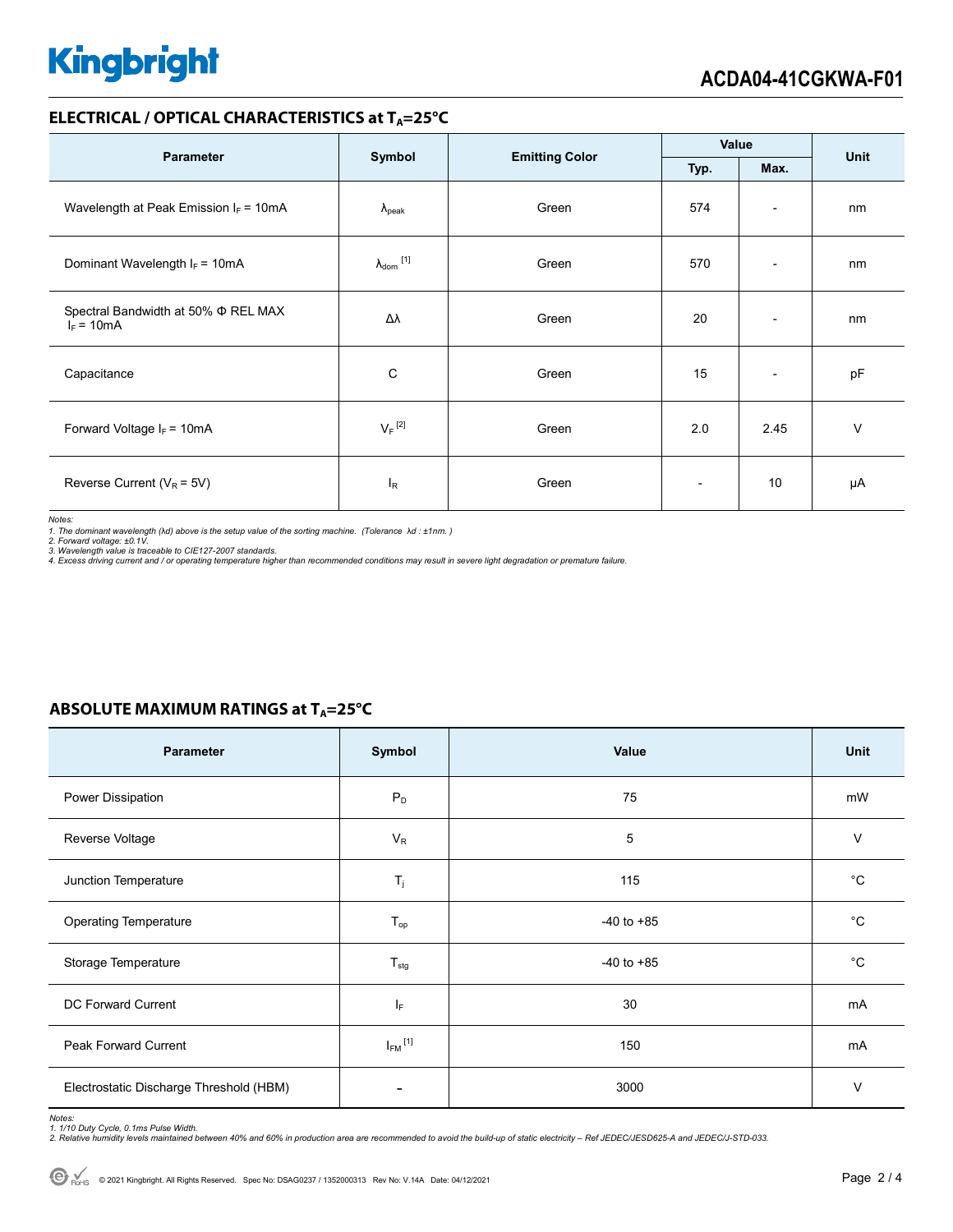#### **ELECTRICAL / OPTICAL CHARACTERISTICS at T<sub>A</sub>=25°C**

| <b>Parameter</b>                                         |                            | <b>Emitting Color</b> | Value                    |                          | Unit   |
|----------------------------------------------------------|----------------------------|-----------------------|--------------------------|--------------------------|--------|
|                                                          | Symbol<br>Typ.<br>Max.     |                       |                          |                          |        |
| Wavelength at Peak Emission $I_F = 10mA$                 | $\lambda_{\rm peak}$       | Green                 | 574                      | $\overline{\phantom{a}}$ | nm     |
| Dominant Wavelength $I_F = 10mA$                         | $\lambda_{\text{dom}}$ [1] | Green                 | 570                      | $\overline{\phantom{a}}$ | nm     |
| Spectral Bandwidth at 50% $\Phi$ REL MAX<br>$I_F = 10mA$ | Δλ                         | Green                 | 20                       | $\overline{\phantom{a}}$ | nm     |
| Capacitance                                              | C                          | Green                 | 15                       | $\overline{\phantom{a}}$ | pF     |
| Forward Voltage $I_F = 10mA$                             | $V_F$ <sup>[2]</sup>       | Green                 | 2.0                      | 2.45                     | $\vee$ |
| Reverse Current ( $V_R$ = 5V)                            | <sup>I</sup> R             | Green                 | $\overline{\phantom{a}}$ | 10                       | μA     |

*Notes:* 

1. The dominant wavelength (λd) above is the setup value of the sorting machine. (Tolerance λd : ±1nm. )<br>2. Forward voltage: ±0.1V.<br>3. Wavelength value is traceable to CIE127-2007 standards.<br>4. Excess driving current and

#### **ABSOLUTE MAXIMUM RATINGS at T<sub>A</sub>=25°C**

| Parameter                               | Symbol                  | Value          | Unit        |
|-----------------------------------------|-------------------------|----------------|-------------|
| Power Dissipation                       | $P_D$                   | 75             | mW          |
| Reverse Voltage                         | $V_R$                   | 5              | $\vee$      |
| Junction Temperature                    | $T_j$                   | 115            | $^{\circ}C$ |
| <b>Operating Temperature</b>            | $T_{op}$                | $-40$ to $+85$ | $^{\circ}C$ |
| Storage Temperature                     | $T_{\text{stg}}$        | $-40$ to $+85$ | $^{\circ}C$ |
| DC Forward Current                      | ΙF                      | 30             | mA          |
| Peak Forward Current                    | $I_{FM}$ <sup>[1]</sup> | 150            | mA          |
| Electrostatic Discharge Threshold (HBM) |                         | 3000           | $\vee$      |

Notes:<br>1. 1/10 Duty Cycle, 0.1ms Pulse Width.<br>2. Relative humidity levels maintained between 40% and 60% in production area are recommended to avoid the build-up of static electricity – Ref JEDEC/JESD625-A and JEDEC/J-STD-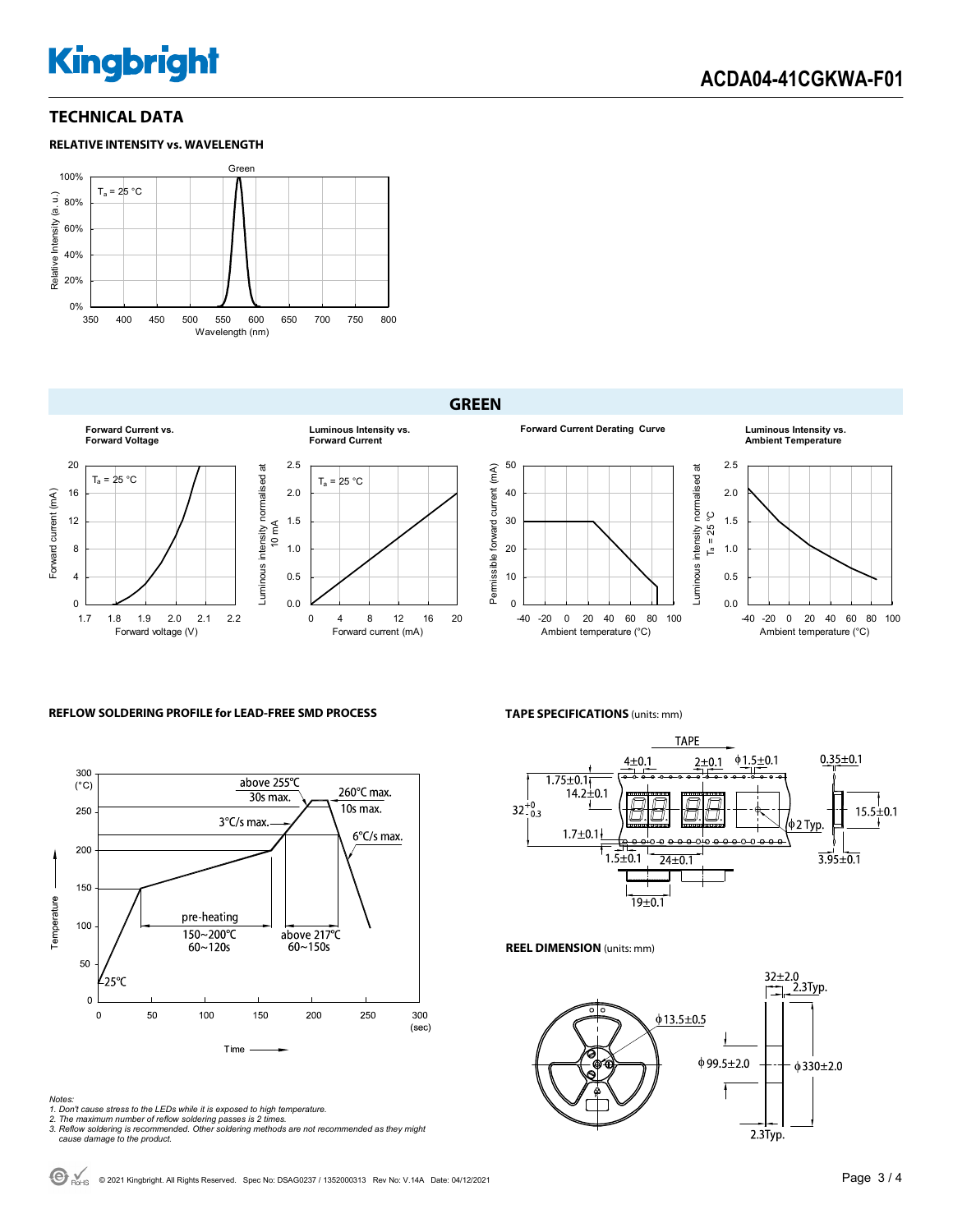#### **TECHNICAL DATA**





#### **GREEN**







#### *Notes:*

*1. Don't cause stress to the LEDs while it is exposed to high temperature.* 



*2. The maximum number of reflow soldering passes is 2 times. 3. Reflow soldering is recommended. Other soldering methods are not recommended as they might cause damage to the product.* 

**TAPE SPECIFICATIONS** (units: mm)



0.0 0.5 1.0 1.5 2.0 2.5

Luminous intensity normalised at  $T_a = 25 °C$ 

Luminous intensity normalised at

-40 -20 0 20 40 60 80 100 Ambient temperature (°C)

**Ambient Temperature**

**REEL DIMENSION** (units: mm)